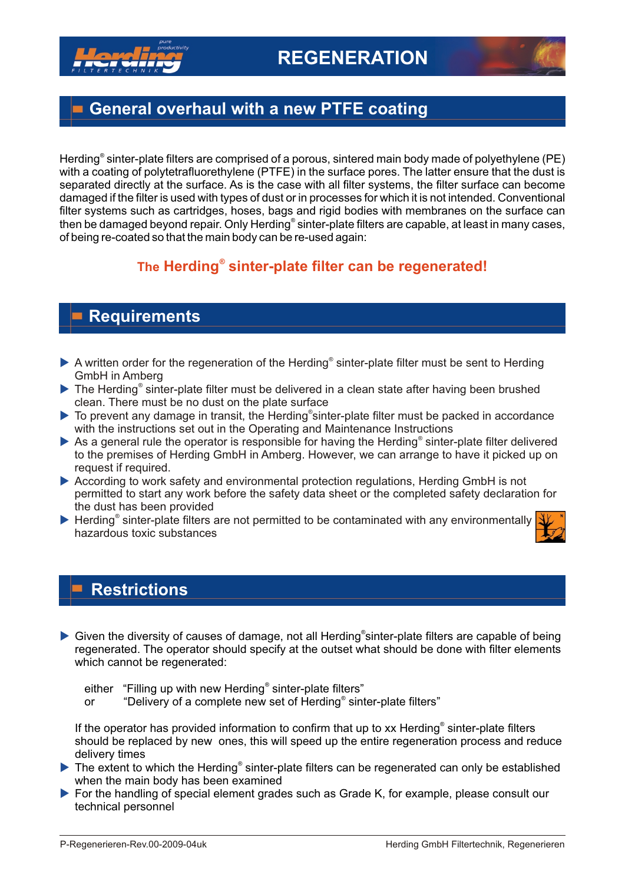

## **General overhaul with a new PTFE coating**

Herding<sup>®</sup> sinter-plate filters are comprised of a porous, sintered main body made of polyethylene (PE) with a coating of polytetrafluorethylene (PTFE) in the surface pores. The latter ensure that the dust is separated directly at the surface. As is the case with all filter systems, the filter surface can become damaged if the filter is used with types of dust or in processes for which it is not intended. Conventional filter systems such as cartridges, hoses, bags and rigid bodies with membranes on the surface can then be damaged beyond repair. Only Herding® sinter-plate filters are capable, at least in many cases, of being re-coated so that the main body can be re-used again:

### **The Herding<sup>®</sup> sinter-plate filter can be regenerated!**

## **Requirements**

- ▶ A written order for the regeneration of the Herding<sup>®</sup> sinter-plate filter must be sent to Herding GmbH in Amberg
- ▶ The Herding<sup>®</sup> sinter-plate filter must be delivered in a clean state after having been brushed clean. There must be no dust on the plate surface
- ▶ To prevent any damage in transit, the Herding®sinter-plate filter must be packed in accordance with the instructions set out in the Operating and Maintenance Instructions
- ▶ As a general rule the operator is responsible for having the Herding<sup>®</sup> sinter-plate filter delivered to the premises of Herding GmbH in Amberg. However, we can arrange to have it picked up on request if required.
- ▶ According to work safety and environmental protection regulations, Herding GmbH is not permitted to start any work before the safety data sheet or the completed safety declaration for the dust has been provided
- **Herding<sup>®</sup> sinter-plate filters are not permitted to be contaminated with any environmentally** hazardous toxic substances



#### **Restrictions**

▶ Given the diversity of causes of damage, not all Herding®sinter-plate filters are capable of being regenerated. The operator should specify at the outset what should be done with filter elements which cannot be regenerated:

- either "Filling up with new Herding<sup>®</sup> sinter-plate filters"
- or "Delivery of a complete new set of Herding<sup>®</sup> sinter-plate filters"

If the operator has provided information to confirm that up to xx Herding<sup>®</sup> sinter-plate filters should be replaced by new ones, this will speed up the entire regeneration process and reduce delivery times

- ▶ The extent to which the Herding<sup>®</sup> sinter-plate filters can be regenerated can only be established when the main body has been examined
- For the handling of special element grades such as Grade K, for example, please consult our technical personnel